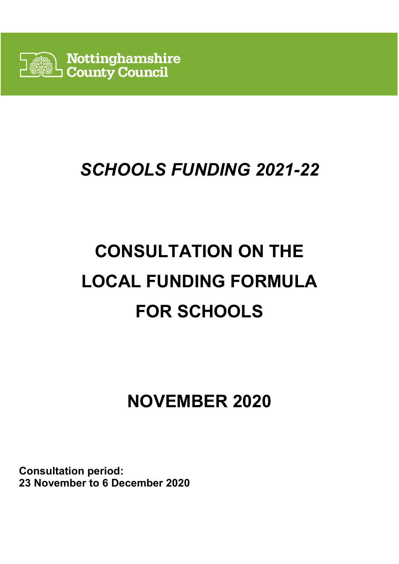

# *SCHOOLS FUNDING 2021-22*

# **CONSULTATION ON THE LOCAL FUNDING FORMULA FOR SCHOOLS**

# **NOVEMBER 2020**

**Consultation period: 23 November to 6 December 2020**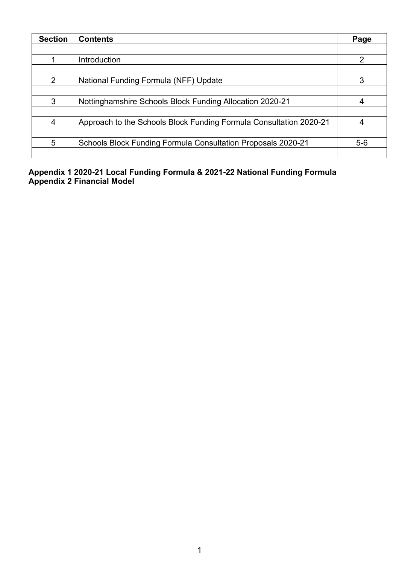| <b>Section</b> | <b>Contents</b>                                                    | Page  |
|----------------|--------------------------------------------------------------------|-------|
|                |                                                                    |       |
|                | Introduction                                                       | 2     |
|                |                                                                    |       |
| 2              | National Funding Formula (NFF) Update                              |       |
|                |                                                                    |       |
| 3              | Nottinghamshire Schools Block Funding Allocation 2020-21           |       |
|                |                                                                    |       |
| 4              | Approach to the Schools Block Funding Formula Consultation 2020-21 |       |
|                |                                                                    |       |
| 5              | Schools Block Funding Formula Consultation Proposals 2020-21       | $5-6$ |
|                |                                                                    |       |

**Appendix 1 2020-21 Local Funding Formula & 2021-22 National Funding Formula Appendix 2 Financial Model**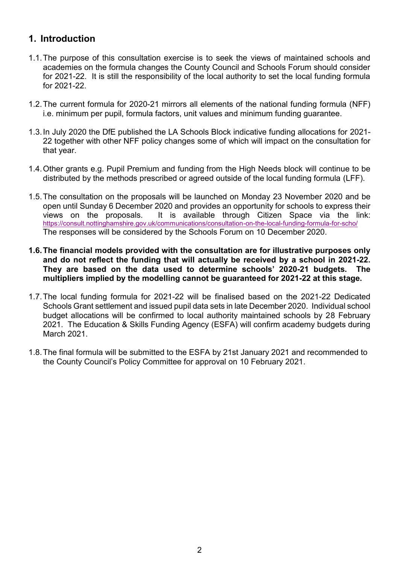### **1. Introduction**

- 1.1.The purpose of this consultation exercise is to seek the views of maintained schools and academies on the formula changes the County Council and Schools Forum should consider for 2021-22. It is still the responsibility of the local authority to set the local funding formula for 2021-22.
- 1.2.The current formula for 2020-21 mirrors all elements of the national funding formula (NFF) i.e. minimum per pupil, formula factors, unit values and minimum funding guarantee.
- 1.3.In July 2020 the DfE published the LA Schools Block indicative funding allocations for 2021- 22 together with other NFF policy changes some of which will impact on the consultation for that year.
- 1.4.Other grants e.g. Pupil Premium and funding from the High Needs block will continue to be distributed by the methods prescribed or agreed outside of the local funding formula (LFF).
- 1.5.The consultation on the proposals will be launched on Monday 23 November 2020 and be open until Sunday 6 December 2020 and provides an opportunity for schools to express their views on the proposals. It is available through Citizen Space via the link: <https://consult.nottinghamshire.gov.uk/communications/consultation-on-the-local-funding-formula-for-scho/> The responses will be considered by the Schools Forum on 10 December 2020.
- **1.6.The financial models provided with the consultation are for illustrative purposes only and do not reflect the funding that will actually be received by a school in 2021-22. They are based on the data used to determine schools' 2020-21 budgets. The multipliers implied by the modelling cannot be guaranteed for 2021-22 at this stage.**
- 1.7.The local funding formula for 2021-22 will be finalised based on the 2021-22 Dedicated Schools Grant settlement and issued pupil data sets in late December 2020. Individual school budget allocations will be confirmed to local authority maintained schools by 28 February 2021. The Education & Skills Funding Agency (ESFA) will confirm academy budgets during March 2021.
- 1.8.The final formula will be submitted to the ESFA by 21st January 2021 and recommended to the County Council's Policy Committee for approval on 10 February 2021.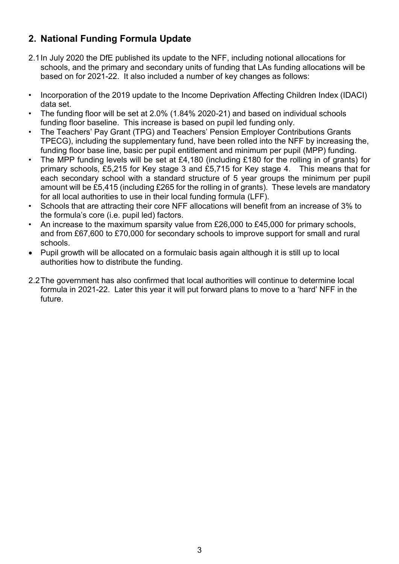# **2. National Funding Formula Update**

- 2.1In July 2020 the DfE published its update to the NFF, including notional allocations for schools, and the primary and secondary units of funding that LAs funding allocations will be based on for 2021-22. It also included a number of key changes as follows:
- Incorporation of the 2019 update to the Income Deprivation Affecting Children Index (IDACI) data set.
- The funding floor will be set at 2.0% (1.84% 2020-21) and based on individual schools funding floor baseline. This increase is based on pupil led funding only.
- The Teachers' Pay Grant (TPG) and Teachers' Pension Employer Contributions Grants TPECG), including the supplementary fund, have been rolled into the NFF by increasing the, funding floor base line, basic per pupil entitlement and minimum per pupil (MPP) funding.
- The MPP funding levels will be set at £4,180 (including £180 for the rolling in of grants) for primary schools, £5,215 for Key stage 3 and £5,715 for Key stage 4. This means that for each secondary school with a standard structure of 5 year groups the minimum per pupil amount will be £5,415 (including £265 for the rolling in of grants). These levels are mandatory for all local authorities to use in their local funding formula (LFF).
- Schools that are attracting their core NFF allocations will benefit from an increase of 3% to the formula's core (i.e. pupil led) factors.
- An increase to the maximum sparsity value from £26,000 to £45,000 for primary schools. and from £67,600 to £70,000 for secondary schools to improve support for small and rural schools.
- Pupil growth will be allocated on a formulaic basis again although it is still up to local authorities how to distribute the funding.
- 2.2The government has also confirmed that local authorities will continue to determine local formula in 2021-22. Later this year it will put forward plans to move to a 'hard' NFF in the future.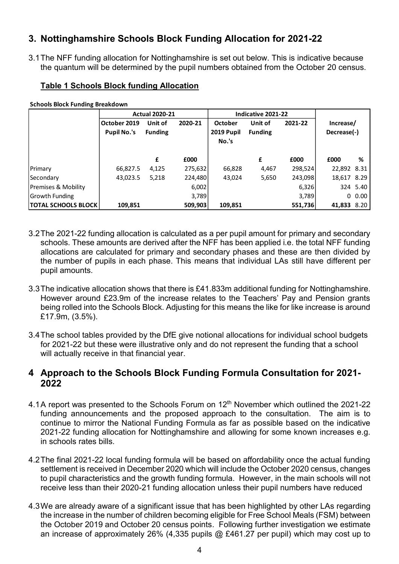# **3. Nottinghamshire Schools Block Funding Allocation for 2021-22**

3.1The NFF funding allocation for Nottinghamshire is set out below. This is indicative because the quantum will be determined by the pupil numbers obtained from the October 20 census.

#### **Table 1 Schools Block funding Allocation**

**Schools Block Funding Breakdown**

|                            | <b>Actual 2020-21</b>              |                           | Indicative 2021-22 |                              |                           |         |                          |          |
|----------------------------|------------------------------------|---------------------------|--------------------|------------------------------|---------------------------|---------|--------------------------|----------|
|                            | October 2019<br><b>Pupil No.'s</b> | Unit of<br><b>Funding</b> | 2020-21            | <b>October</b><br>2019 Pupil | Unit of<br><b>Funding</b> | 2021-22 | Increase/<br>Decrease(-) |          |
|                            |                                    |                           |                    | No.'s                        |                           |         |                          |          |
|                            |                                    | £                         | £000               |                              | £                         | £000    | £000                     | %        |
| Primary                    | 66,827.5                           | 4,125                     | 275,632            | 66,828                       | 4,467                     | 298,524 | 22,892 8.31              |          |
| Secondary                  | 43,023.5                           | 5,218                     | 224,480            | 43,024                       | 5,650                     | 243,098 | 18,617 8.29              |          |
| Premises & Mobility        |                                    |                           | 6,002              |                              |                           | 6,326   |                          | 324 5.40 |
| Growth Funding             |                                    |                           | 3,789              |                              |                           | 3,789   |                          | 0.00     |
| <b>TOTAL SCHOOLS BLOCK</b> | 109,851                            |                           | 509,903            | 109,851                      |                           | 551,736 | 41,833 8.20              |          |

- 3.2The 2021-22 funding allocation is calculated as a per pupil amount for primary and secondary schools. These amounts are derived after the NFF has been applied i.e. the total NFF funding allocations are calculated for primary and secondary phases and these are then divided by the number of pupils in each phase. This means that individual LAs still have different per pupil amounts.
- 3.3The indicative allocation shows that there is £41.833m additional funding for Nottinghamshire. However around £23.9m of the increase relates to the Teachers' Pay and Pension grants being rolled into the Schools Block. Adjusting for this means the like for like increase is around £17.9m, (3.5%).
- 3.4The school tables provided by the DfE give notional allocations for individual school budgets for 2021-22 but these were illustrative only and do not represent the funding that a school will actually receive in that financial year.

## **4 Approach to the Schools Block Funding Formula Consultation for 2021- 2022**

- 4.1A report was presented to the Schools Forum on 12<sup>th</sup> November which outlined the 2021-22 funding announcements and the proposed approach to the consultation. The aim is to continue to mirror the National Funding Formula as far as possible based on the indicative 2021-22 funding allocation for Nottinghamshire and allowing for some known increases e.g. in schools rates bills.
- 4.2The final 2021-22 local funding formula will be based on affordability once the actual funding settlement is received in December 2020 which will include the October 2020 census, changes to pupil characteristics and the growth funding formula. However, in the main schools will not receive less than their 2020-21 funding allocation unless their pupil numbers have reduced
- 4.3We are already aware of a significant issue that has been highlighted by other LAs regarding the increase in the number of children becoming eligible for Free School Meals (FSM) between the October 2019 and October 20 census points. Following further investigation we estimate an increase of approximately 26% (4,335 pupils @ £461.27 per pupil) which may cost up to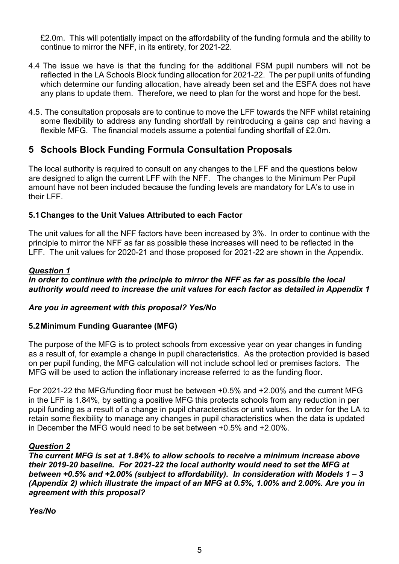£2.0m. This will potentially impact on the affordability of the funding formula and the ability to continue to mirror the NFF, in its entirety, for 2021-22.

- 4.4 The issue we have is that the funding for the additional FSM pupil numbers will not be reflected in the LA Schools Block funding allocation for 2021-22. The per pupil units of funding which determine our funding allocation, have already been set and the ESFA does not have any plans to update them. Therefore, we need to plan for the worst and hope for the best.
- 4.5. The consultation proposals are to continue to move the LFF towards the NFF whilst retaining some flexibility to address any funding shortfall by reintroducing a gains cap and having a flexible MFG. The financial models assume a potential funding shortfall of £2.0m.

## **5 Schools Block Funding Formula Consultation Proposals**

The local authority is required to consult on any changes to the LFF and the questions below are designed to align the current LFF with the NFF. The changes to the Minimum Per Pupil amount have not been included because the funding levels are mandatory for LA's to use in their LFF.

#### **5.1Changes to the Unit Values Attributed to each Factor**

The unit values for all the NFF factors have been increased by 3%. In order to continue with the principle to mirror the NFF as far as possible these increases will need to be reflected in the LFF. The unit values for 2020-21 and those proposed for 2021-22 are shown in the Appendix.

#### *Question 1*

#### *In order to continue with the principle to mirror the NFF as far as possible the local authority would need to increase the unit values for each factor as detailed in Appendix 1*

#### *Are you in agreement with this proposal? Yes/No*

#### **5.2Minimum Funding Guarantee (MFG)**

The purpose of the MFG is to protect schools from excessive year on year changes in funding as a result of, for example a change in pupil characteristics. As the protection provided is based on per pupil funding, the MFG calculation will not include school led or premises factors. The MFG will be used to action the inflationary increase referred to as the funding floor.

For 2021-22 the MFG/funding floor must be between +0.5% and +2.00% and the current MFG in the LFF is 1.84%, by setting a positive MFG this protects schools from any reduction in per pupil funding as a result of a change in pupil characteristics or unit values. In order for the LA to retain some flexibility to manage any changes in pupil characteristics when the data is updated in December the MFG would need to be set between +0.5% and +2.00%.

#### *Question 2*

*The current MFG is set at 1.84% to allow schools to receive a minimum increase above their 2019-20 baseline. For 2021-22 the local authority would need to set the MFG at between +0.5% and +2.00% (subject to affordability). In consideration with Models 1 – 3 (Appendix 2) which illustrate the impact of an MFG at 0.5%, 1.00% and 2.00%. Are you in agreement with this proposal?* 

*Yes/No*